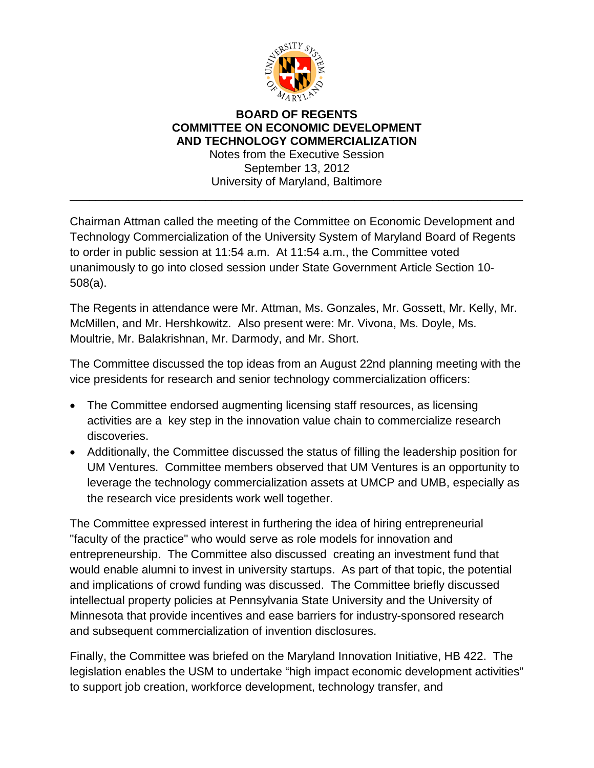

## **BOARD OF REGENTS COMMITTEE ON ECONOMIC DEVELOPMENT AND TECHNOLOGY COMMERCIALIZATION** Notes from the Executive Session

September 13, 2012 University of Maryland, Baltimore

\_\_\_\_\_\_\_\_\_\_\_\_\_\_\_\_\_\_\_\_\_\_\_\_\_\_\_\_\_\_\_\_\_\_\_\_\_\_\_\_\_\_\_\_\_\_\_\_\_\_\_\_\_\_\_\_\_\_\_\_\_\_\_\_\_\_\_\_\_\_

Chairman Attman called the meeting of the Committee on Economic Development and Technology Commercialization of the University System of Maryland Board of Regents to order in public session at 11:54 a.m. At 11:54 a.m., the Committee voted unanimously to go into closed session under State Government Article Section 10- 508(a).

The Regents in attendance were Mr. Attman, Ms. Gonzales, Mr. Gossett, Mr. Kelly, Mr. McMillen, and Mr. Hershkowitz. Also present were: Mr. Vivona, Ms. Doyle, Ms. Moultrie, Mr. Balakrishnan, Mr. Darmody, and Mr. Short.

The Committee discussed the top ideas from an August 22nd planning meeting with the vice presidents for research and senior technology commercialization officers:

- The Committee endorsed augmenting licensing staff resources, as licensing activities are a key step in the innovation value chain to commercialize research discoveries.
- Additionally, the Committee discussed the status of filling the leadership position for UM Ventures. Committee members observed that UM Ventures is an opportunity to leverage the technology commercialization assets at UMCP and UMB, especially as the research vice presidents work well together.

The Committee expressed interest in furthering the idea of hiring entrepreneurial "faculty of the practice" who would serve as role models for innovation and entrepreneurship. The Committee also discussed creating an investment fund that would enable alumni to invest in university startups. As part of that topic, the potential and implications of crowd funding was discussed. The Committee briefly discussed intellectual property policies at Pennsylvania State University and the University of Minnesota that provide incentives and ease barriers for industry-sponsored research and subsequent commercialization of invention disclosures.

Finally, the Committee was briefed on the Maryland Innovation Initiative, HB 422. The legislation enables the USM to undertake "high impact economic development activities" to support job creation, workforce development, technology transfer, and